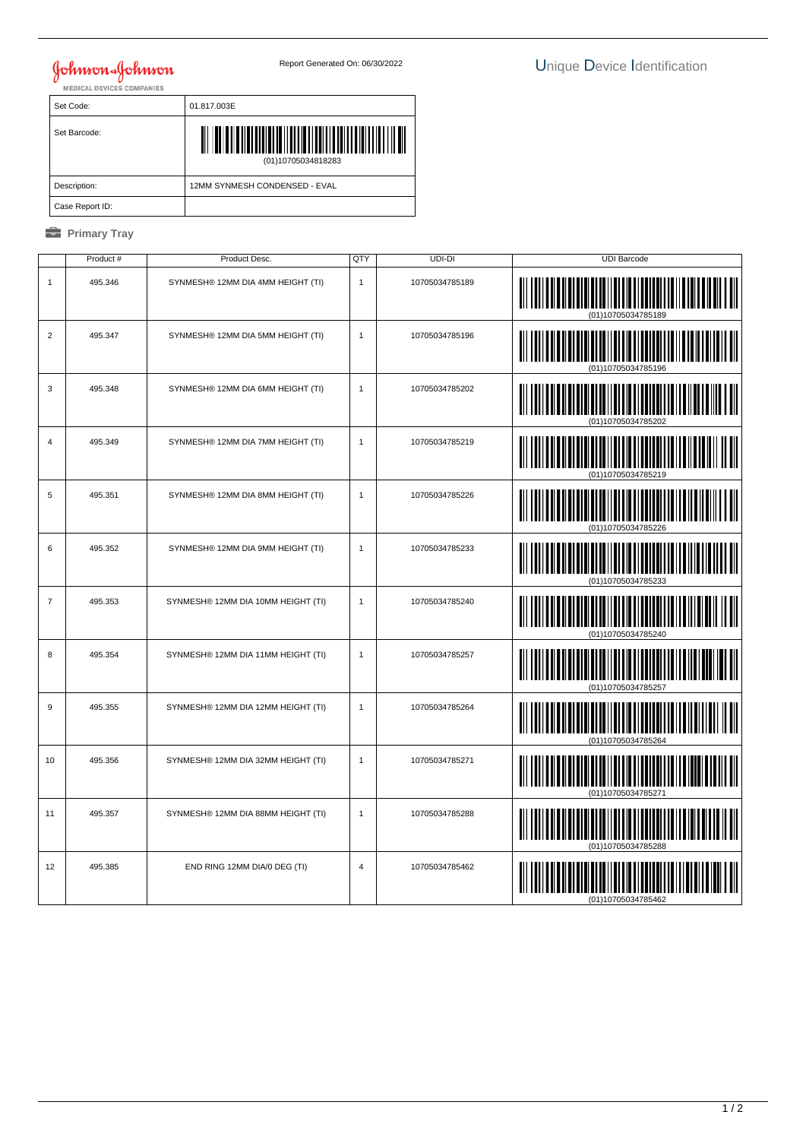## **Johnson & Johnson**

| Set Code:       | 01.817.003E                                   |  |  |  |
|-----------------|-----------------------------------------------|--|--|--|
| Set Barcode:    | III III III<br>11 I III<br>(01)10705034818283 |  |  |  |
| Description:    | 12MM SYNMESH CONDENSED - EVAL                 |  |  |  |
| Case Report ID: |                                               |  |  |  |

## *<u><b>* Primary Tray</u>

|                | Product # | Product Desc.                      | QTY            | UDI-DI         | <b>UDI Barcode</b> |
|----------------|-----------|------------------------------------|----------------|----------------|--------------------|
| $\mathbf{1}$   | 495.346   | SYNMESH® 12MM DIA 4MM HEIGHT (TI)  | $\mathbf{1}$   | 10705034785189 |                    |
| $\overline{2}$ | 495.347   | SYNMESH® 12MM DIA 5MM HEIGHT (TI)  | $\mathbf{1}$   | 10705034785196 |                    |
| 3              | 495.348   | SYNMESH® 12MM DIA 6MM HEIGHT (TI)  | $\mathbf{1}$   | 10705034785202 | <b>IIII III</b>    |
| $\overline{4}$ | 495.349   | SYNMESH® 12MM DIA 7MM HEIGHT (TI)  | $\mathbf{1}$   | 10705034785219 |                    |
| 5              | 495.351   | SYNMESH® 12MM DIA 8MM HEIGHT (TI)  | $\mathbf{1}$   | 10705034785226 |                    |
| 6              | 495.352   | SYNMESH® 12MM DIA 9MM HEIGHT (TI)  | $\mathbf{1}$   | 10705034785233 |                    |
| $\overline{7}$ | 495.353   | SYNMESH® 12MM DIA 10MM HEIGHT (TI) | $\mathbf{1}$   | 10705034785240 |                    |
| 8              | 495.354   | SYNMESH® 12MM DIA 11MM HEIGHT (TI) | $\mathbf{1}$   | 10705034785257 |                    |
| $9\,$          | 495.355   | SYNMESH® 12MM DIA 12MM HEIGHT (TI) | $\mathbf{1}$   | 10705034785264 |                    |
| 10             | 495.356   | SYNMESH® 12MM DIA 32MM HEIGHT (TI) | $\mathbf{1}$   | 10705034785271 |                    |
| 11             | 495.357   | SYNMESH® 12MM DIA 88MM HEIGHT (TI) | $\mathbf{1}$   | 10705034785288 |                    |
| 12             | 495.385   | END RING 12MM DIA/0 DEG (TI)       | $\overline{4}$ | 10705034785462 |                    |